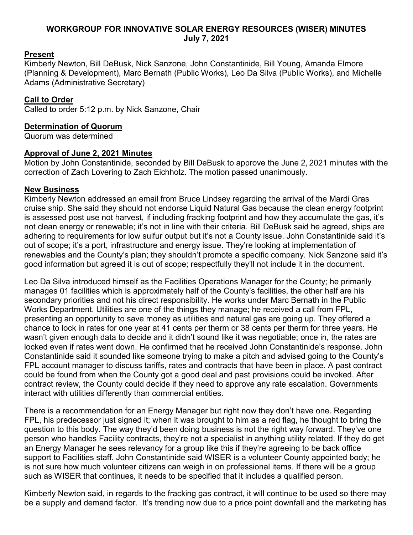#### **WORKGROUP FOR INNOVATIVE SOLAR ENERGY RESOURCES (WISER) MINUTES July 7, 2021**

### **Present**

Kimberly Newton, Bill DeBusk, Nick Sanzone, John Constantinide, Bill Young, Amanda Elmore (Planning & Development), Marc Bernath (Public Works), Leo Da Silva (Public Works), and Michelle Adams (Administrative Secretary)

## **Call to Order**

Called to order 5:12 p.m. by Nick Sanzone, Chair

#### **Determination of Quorum**

Quorum was determined

#### **Approval of June 2, 2021 Minutes**

Motion by John Constantinide, seconded by Bill DeBusk to approve the June 2, 2021 minutes with the correction of Zach Lovering to Zach Eichholz. The motion passed unanimously.

#### **New Business**

Kimberly Newton addressed an email from Bruce Lindsey regarding the arrival of the Mardi Gras cruise ship. She said they should not endorse Liquid Natural Gas because the clean energy footprint is assessed post use not harvest, if including fracking footprint and how they accumulate the gas, it's not clean energy or renewable; it's not in line with their criteria. Bill DeBusk said he agreed, ships are adhering to requirements for low sulfur output but it's not a County issue. John Constantinide said it's out of scope; it's a port, infrastructure and energy issue. They're looking at implementation of renewables and the County's plan; they shouldn't promote a specific company. Nick Sanzone said it's good information but agreed it is out of scope; respectfully they'll not include it in the document.

Leo Da Silva introduced himself as the Facilities Operations Manager for the County; he primarily manages 01 facilities which is approximately half of the County's facilities, the other half are his secondary priorities and not his direct responsibility. He works under Marc Bernath in the Public Works Department. Utilities are one of the things they manage; he received a call from FPL, presenting an opportunity to save money as utilities and natural gas are going up. They offered a chance to lock in rates for one year at 41 cents per therm or 38 cents per therm for three years. He wasn't given enough data to decide and it didn't sound like it was negotiable; once in, the rates are locked even if rates went down. He confirmed that he received John Constantinide's response. John Constantinide said it sounded like someone trying to make a pitch and advised going to the County's FPL account manager to discuss tariffs, rates and contracts that have been in place. A past contract could be found from when the County got a good deal and past provisions could be invoked. After contract review, the County could decide if they need to approve any rate escalation. Governments interact with utilities differently than commercial entities.

There is a recommendation for an Energy Manager but right now they don't have one. Regarding FPL, his predecessor just signed it; when it was brought to him as a red flag, he thought to bring the question to this body. The way they'd been doing business is not the right way forward. They've one person who handles Facility contracts, they're not a specialist in anything utility related. If they do get an Energy Manager he sees relevancy for a group like this if they're agreeing to be back office support to Facilities staff. John Constantinide said WISER is a volunteer County appointed body; he is not sure how much volunteer citizens can weigh in on professional items. If there will be a group such as WISER that continues, it needs to be specified that it includes a qualified person.

Kimberly Newton said, in regards to the fracking gas contract, it will continue to be used so there may be a supply and demand factor. It's trending now due to a price point downfall and the marketing has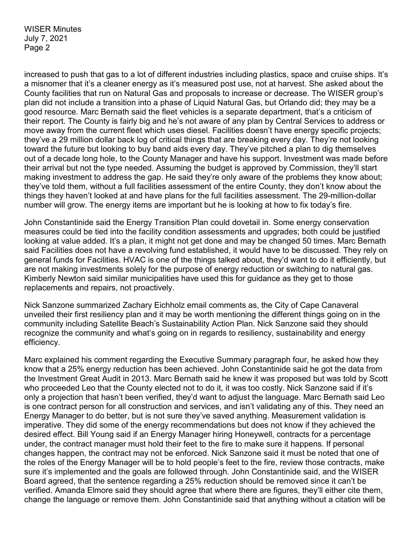increased to push that gas to a lot of different industries including plastics, space and cruise ships. It's a misnomer that it's a cleaner energy as it's measured post use, not at harvest. She asked about the County facilities that run on Natural Gas and proposals to increase or decrease. The WISER group's plan did not include a transition into a phase of Liquid Natural Gas, but Orlando did; they may be a good resource. Marc Bernath said the fleet vehicles is a separate department, that's a criticism of their report. The County is fairly big and he's not aware of any plan by Central Services to address or move away from the current fleet which uses diesel. Facilities doesn't have energy specific projects; they've a 29 million dollar back log of critical things that are breaking every day. They're not looking toward the future but looking to buy band aids every day. They've pitched a plan to dig themselves out of a decade long hole, to the County Manager and have his support. Investment was made before their arrival but not the type needed. Assuming the budget is approved by Commission, they'll start making investment to address the gap. He said they're only aware of the problems they know about; they've told them, without a full facilities assessment of the entire County, they don't know about the things they haven't looked at and have plans for the full facilities assessment. The 29-million-dollar number will grow. The energy items are important but he is looking at how to fix today's fire.

John Constantinide said the Energy Transition Plan could dovetail in. Some energy conservation measures could be tied into the facility condition assessments and upgrades; both could be justified looking at value added. It's a plan, it might not get done and may be changed 50 times. Marc Bernath said Facilities does not have a revolving fund established, it would have to be discussed. They rely on general funds for Facilities. HVAC is one of the things talked about, they'd want to do it efficiently, but are not making investments solely for the purpose of energy reduction or switching to natural gas. Kimberly Newton said similar municipalities have used this for guidance as they get to those replacements and repairs, not proactively.

Nick Sanzone summarized Zachary Eichholz email comments as, the City of Cape Canaveral unveiled their first resiliency plan and it may be worth mentioning the different things going on in the community including Satellite Beach's Sustainability Action Plan. Nick Sanzone said they should recognize the community and what's going on in regards to resiliency, sustainability and energy efficiency.

Marc explained his comment regarding the Executive Summary paragraph four, he asked how they know that a 25% energy reduction has been achieved. John Constantinide said he got the data from the Investment Great Audit in 2013. Marc Bernath said he knew it was proposed but was told by Scott who proceeded Leo that the County elected not to do it, it was too costly. Nick Sanzone said if it's only a projection that hasn't been verified, they'd want to adjust the language. Marc Bernath said Leo is one contract person for all construction and services, and isn't validating any of this. They need an Energy Manager to do better, but is not sure they've saved anything. Measurement validation is imperative. They did some of the energy recommendations but does not know if they achieved the desired effect. Bill Young said if an Energy Manager hiring Honeywell, contracts for a percentage under, the contract manager must hold their feet to the fire to make sure it happens. If personal changes happen, the contract may not be enforced. Nick Sanzone said it must be noted that one of the roles of the Energy Manager will be to hold people's feet to the fire, review those contracts, make sure it's implemented and the goals are followed through. John Constantinide said, and the WISER Board agreed, that the sentence regarding a 25% reduction should be removed since it can't be verified. Amanda Elmore said they should agree that where there are figures, they'll either cite them, change the language or remove them. John Constantinide said that anything without a citation will be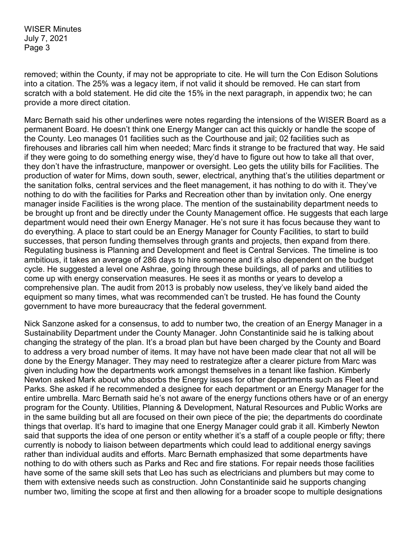removed; within the County, if may not be appropriate to cite. He will turn the Con Edison Solutions into a citation. The 25% was a legacy item, if not valid it should be removed. He can start from scratch with a bold statement. He did cite the 15% in the next paragraph, in appendix two; he can provide a more direct citation.

Marc Bernath said his other underlines were notes regarding the intensions of the WISER Board as a permanent Board. He doesn't think one Energy Manger can act this quickly or handle the scope of the County. Leo manages 01 facilities such as the Courthouse and jail; 02 facilities such as firehouses and libraries call him when needed; Marc finds it strange to be fractured that way. He said if they were going to do something energy wise, they'd have to figure out how to take all that over, they don't have the infrastructure, manpower or oversight. Leo gets the utility bills for Facilities. The production of water for Mims, down south, sewer, electrical, anything that's the utilities department or the sanitation folks, central services and the fleet management, it has nothing to do with it. They've nothing to do with the facilities for Parks and Recreation other than by invitation only. One energy manager inside Facilities is the wrong place. The mention of the sustainability department needs to be brought up front and be directly under the County Management office. He suggests that each large department would need their own Energy Manager. He's not sure it has focus because they want to do everything. A place to start could be an Energy Manager for County Facilities, to start to build successes, that person funding themselves through grants and projects, then expand from there. Regulating business is Planning and Development and fleet is Central Services. The timeline is too ambitious, it takes an average of 286 days to hire someone and it's also dependent on the budget cycle. He suggested a level one Ashrae, going through these buildings, all of parks and utilities to come up with energy conservation measures. He sees it as months or years to develop a comprehensive plan. The audit from 2013 is probably now useless, they've likely band aided the equipment so many times, what was recommended can't be trusted. He has found the County government to have more bureaucracy that the federal government.

Nick Sanzone asked for a consensus, to add to number two, the creation of an Energy Manager in a Sustainability Department under the County Manager. John Constantinide said he is talking about changing the strategy of the plan. It's a broad plan but have been charged by the County and Board to address a very broad number of items. It may have not have been made clear that not all will be done by the Energy Manager. They may need to restrategize after a clearer picture from Marc was given including how the departments work amongst themselves in a tenant like fashion. Kimberly Newton asked Mark about who absorbs the Energy issues for other departments such as Fleet and Parks. She asked if he recommended a designee for each department or an Energy Manager for the entire umbrella. Marc Bernath said he's not aware of the energy functions others have or of an energy program for the County. Utilities, Planning & Development, Natural Resources and Public Works are in the same building but all are focused on their own piece of the pie; the departments do coordinate things that overlap. It's hard to imagine that one Energy Manager could grab it all. Kimberly Newton said that supports the idea of one person or entity whether it's a staff of a couple people or fifty; there currently is nobody to liaison between departments which could lead to additional energy savings rather than individual audits and efforts. Marc Bernath emphasized that some departments have nothing to do with others such as Parks and Rec and fire stations. For repair needs those facilities have some of the same skill sets that Leo has such as electricians and plumbers but may come to them with extensive needs such as construction. John Constantinide said he supports changing number two, limiting the scope at first and then allowing for a broader scope to multiple designations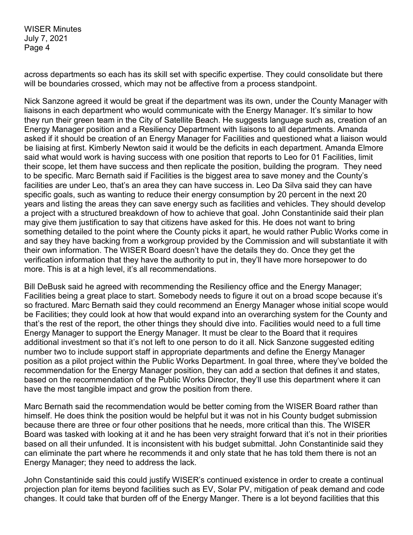across departments so each has its skill set with specific expertise. They could consolidate but there will be boundaries crossed, which may not be affective from a process standpoint.

Nick Sanzone agreed it would be great if the department was its own, under the County Manager with liaisons in each department who would communicate with the Energy Manager. It's similar to how they run their green team in the City of Satellite Beach. He suggests language such as, creation of an Energy Manager position and a Resiliency Department with liaisons to all departments. Amanda asked if it should be creation of an Energy Manager for Facilities and questioned what a liaison would be liaising at first. Kimberly Newton said it would be the deficits in each department. Amanda Elmore said what would work is having success with one position that reports to Leo for 01 Facilities, limit their scope, let them have success and then replicate the position, building the program. They need to be specific. Marc Bernath said if Facilities is the biggest area to save money and the County's facilities are under Leo, that's an area they can have success in. Leo Da Silva said they can have specific goals, such as wanting to reduce their energy consumption by 20 percent in the next 20 years and listing the areas they can save energy such as facilities and vehicles. They should develop a project with a structured breakdown of how to achieve that goal. John Constantinide said their plan may give them justification to say that citizens have asked for this. He does not want to bring something detailed to the point where the County picks it apart, he would rather Public Works come in and say they have backing from a workgroup provided by the Commission and will substantiate it with their own information. The WISER Board doesn't have the details they do. Once they get the verification information that they have the authority to put in, they'll have more horsepower to do more. This is at a high level, it's all recommendations.

Bill DeBusk said he agreed with recommending the Resiliency office and the Energy Manager; Facilities being a great place to start. Somebody needs to figure it out on a broad scope because it's so fractured. Marc Bernath said they could recommend an Energy Manager whose initial scope would be Facilities; they could look at how that would expand into an overarching system for the County and that's the rest of the report, the other things they should dive into. Facilities would need to a full time Energy Manager to support the Energy Manager. It must be clear to the Board that it requires additional investment so that it's not left to one person to do it all. Nick Sanzone suggested editing number two to include support staff in appropriate departments and define the Energy Manager position as a pilot project within the Public Works Department. In goal three, where they've bolded the recommendation for the Energy Manager position, they can add a section that defines it and states, based on the recommendation of the Public Works Director, they'll use this department where it can have the most tangible impact and grow the position from there.

Marc Bernath said the recommendation would be better coming from the WISER Board rather than himself. He does think the position would be helpful but it was not in his County budget submission because there are three or four other positions that he needs, more critical than this. The WISER Board was tasked with looking at it and he has been very straight forward that it's not in their priorities based on all their unfunded. It is inconsistent with his budget submittal. John Constantinide said they can eliminate the part where he recommends it and only state that he has told them there is not an Energy Manager; they need to address the lack.

John Constantinide said this could justify WISER's continued existence in order to create a continual projection plan for items beyond facilities such as EV, Solar PV, mitigation of peak demand and code changes. It could take that burden off of the Energy Manger. There is a lot beyond facilities that this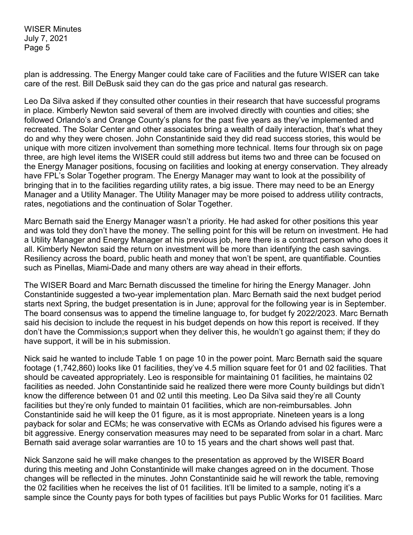plan is addressing. The Energy Manger could take care of Facilities and the future WISER can take care of the rest. Bill DeBusk said they can do the gas price and natural gas research.

Leo Da Silva asked if they consulted other counties in their research that have successful programs in place. Kimberly Newton said several of them are involved directly with counties and cities; she followed Orlando's and Orange County's plans for the past five years as they've implemented and recreated. The Solar Center and other associates bring a wealth of daily interaction, that's what they do and why they were chosen. John Constantinide said they did read success stories, this would be unique with more citizen involvement than something more technical. Items four through six on page three, are high level items the WISER could still address but items two and three can be focused on the Energy Manager positions, focusing on facilities and looking at energy conservation. They already have FPL's Solar Together program. The Energy Manager may want to look at the possibility of bringing that in to the facilities regarding utility rates, a big issue. There may need to be an Energy Manager and a Utility Manager. The Utility Manager may be more poised to address utility contracts, rates, negotiations and the continuation of Solar Together.

Marc Bernath said the Energy Manager wasn't a priority. He had asked for other positions this year and was told they don't have the money. The selling point for this will be return on investment. He had a Utility Manager and Energy Manager at his previous job, here there is a contract person who does it all. Kimberly Newton said the return on investment will be more than identifying the cash savings. Resiliency across the board, public heath and money that won't be spent, are quantifiable. Counties such as Pinellas, Miami-Dade and many others are way ahead in their efforts.

The WISER Board and Marc Bernath discussed the timeline for hiring the Energy Manager. John Constantinide suggested a two-year implementation plan. Marc Bernath said the next budget period starts next Spring, the budget presentation is in June; approval for the following year is in September. The board consensus was to append the timeline language to, for budget fy 2022/2023. Marc Bernath said his decision to include the request in his budget depends on how this report is received. If they don't have the Commission;s support when they deliver this, he wouldn't go against them; if they do have support, it will be in his submission.

Nick said he wanted to include Table 1 on page 10 in the power point. Marc Bernath said the square footage (1,742,860) looks like 01 facilities, they've 4.5 million square feet for 01 and 02 facilities. That should be caveated appropriately. Leo is responsible for maintaining 01 facilities, he maintains 02 facilities as needed. John Constantinide said he realized there were more County buildings but didn't know the difference between 01 and 02 until this meeting. Leo Da Silva said they're all County facilities but they're only funded to maintain 01 facilities, which are non-reimbursables. John Constantinide said he will keep the 01 figure, as it is most appropriate. Nineteen years is a long payback for solar and ECMs; he was conservative with ECMs as Orlando advised his figures were a bit aggressive. Energy conservation measures may need to be separated from solar in a chart. Marc Bernath said average solar warranties are 10 to 15 years and the chart shows well past that.

Nick Sanzone said he will make changes to the presentation as approved by the WISER Board during this meeting and John Constantinide will make changes agreed on in the document. Those changes will be reflected in the minutes. John Constantinide said he will rework the table, removing the 02 facilities when he receives the list of 01 facilities. It'll be limited to a sample, noting it's a sample since the County pays for both types of facilities but pays Public Works for 01 facilities. Marc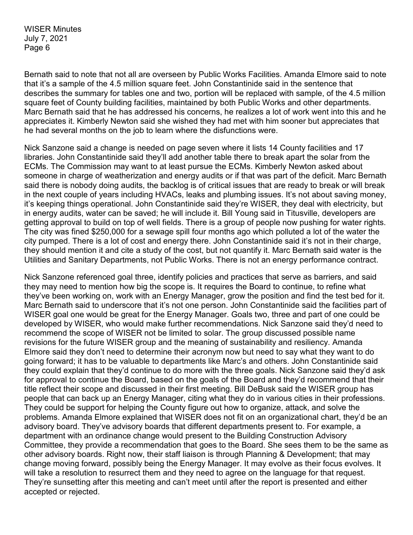Bernath said to note that not all are overseen by Public Works Facilities. Amanda Elmore said to note that it's a sample of the 4.5 million square feet. John Constantinide said in the sentence that describes the summary for tables one and two, portion will be replaced with sample, of the 4.5 million square feet of County building facilities, maintained by both Public Works and other departments. Marc Bernath said that he has addressed his concerns, he realizes a lot of work went into this and he appreciates it. Kimberly Newton said she wished they had met with him sooner but appreciates that he had several months on the job to learn where the disfunctions were.

Nick Sanzone said a change is needed on page seven where it lists 14 County facilities and 17 libraries. John Constantinide said they'll add another table there to break apart the solar from the ECMs. The Commission may want to at least pursue the ECMs. Kimberly Newton asked about someone in charge of weatherization and energy audits or if that was part of the deficit. Marc Bernath said there is nobody doing audits, the backlog is of critical issues that are ready to break or will break in the next couple of years including HVACs, leaks and plumbing issues. It's not about saving money, it's keeping things operational. John Constantinide said they're WISER, they deal with electricity, but in energy audits, water can be saved; he will include it. Bill Young said in Titusville, developers are getting approval to build on top of well fields. There is a group of people now pushing for water rights. The city was fined \$250,000 for a sewage spill four months ago which polluted a lot of the water the city pumped. There is a lot of cost and energy there. John Constantinide said it's not in their charge, they should mention it and cite a study of the cost, but not quantify it. Marc Bernath said water is the Utilities and Sanitary Departments, not Public Works. There is not an energy performance contract.

Nick Sanzone referenced goal three, identify policies and practices that serve as barriers, and said they may need to mention how big the scope is. It requires the Board to continue, to refine what they've been working on, work with an Energy Manager, grow the position and find the test bed for it. Marc Bernath said to underscore that it's not one person. John Constantinide said the facilities part of WISER goal one would be great for the Energy Manager. Goals two, three and part of one could be developed by WISER, who would make further recommendations. Nick Sanzone said they'd need to recommend the scope of WISER not be limited to solar. The group discussed possible name revisions for the future WISER group and the meaning of sustainability and resiliency. Amanda Elmore said they don't need to determine their acronym now but need to say what they want to do going forward; it has to be valuable to departments like Marc's and others. John Constantinide said they could explain that they'd continue to do more with the three goals. Nick Sanzone said they'd ask for approval to continue the Board, based on the goals of the Board and they'd recommend that their title reflect their scope and discussed in their first meeting. Bill DeBusk said the WISER group has people that can back up an Energy Manager, citing what they do in various cities in their professions. They could be support for helping the County figure out how to organize, attack, and solve the problems. Amanda Elmore explained that WISER does not fit on an organizational chart, they'd be an advisory board. They've advisory boards that different departments present to. For example, a department with an ordinance change would present to the Building Construction Advisory Committee, they provide a recommendation that goes to the Board. She sees them to be the same as other advisory boards. Right now, their staff liaison is through Planning & Development; that may change moving forward, possibly being the Energy Manager. It may evolve as their focus evolves. It will take a resolution to resurrect them and they need to agree on the language for that request. They're sunsetting after this meeting and can't meet until after the report is presented and either accepted or rejected.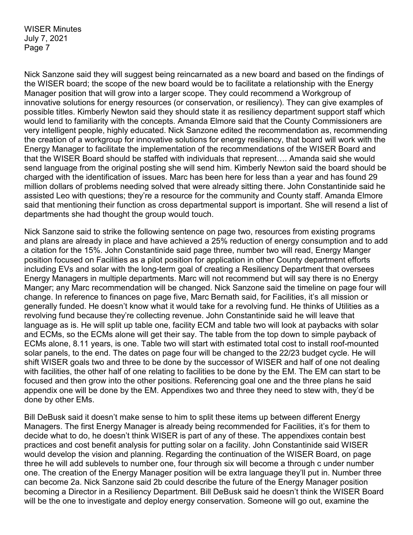Nick Sanzone said they will suggest being reincarnated as a new board and based on the findings of the WISER board; the scope of the new board would be to facilitate a relationship with the Energy Manager position that will grow into a larger scope. They could recommend a Workgroup of innovative solutions for energy resources (or conservation, or resiliency). They can give examples of possible titles. Kimberly Newton said they should state it as resiliency department support staff which would lend to familiarity with the concepts. Amanda Elmore said that the County Commissioners are very intelligent people, highly educated. Nick Sanzone edited the recommendation as, recommending the creation of a workgroup for innovative solutions for energy resiliency, that board will work with the Energy Manager to facilitate the implementation of the recommendations of the WISER Board and that the WISER Board should be staffed with individuals that represent…. Amanda said she would send language from the original posting she will send him. Kimberly Newton said the board should be charged with the identification of issues. Marc has been here for less than a year and has found 29 million dollars of problems needing solved that were already sitting there. John Constantinide said he assisted Leo with questions; they're a resource for the community and County staff. Amanda Elmore said that mentioning their function as cross departmental support is important. She will resend a list of departments she had thought the group would touch.

Nick Sanzone said to strike the following sentence on page two, resources from existing programs and plans are already in place and have achieved a 25% reduction of energy consumption and to add a citation for the 15%. John Constantinide said page three, number two will read, Energy Manger position focused on Facilities as a pilot position for application in other County department efforts including EVs and solar with the long-term goal of creating a Resiliency Department that oversees Energy Managers in multiple departments. Marc will not recommend but will say there is no Energy Manger; any Marc recommendation will be changed. Nick Sanzone said the timeline on page four will change. In reference to finances on page five, Marc Bernath said, for Facilities, it's all mission or generally funded. He doesn't know what it would take for a revolving fund. He thinks of Utilities as a revolving fund because they're collecting revenue. John Constantinide said he will leave that language as is. He will split up table one, facility ECM and table two will look at paybacks with solar and ECMs, so the ECMs alone will get their say. The table from the top down to simple payback of ECMs alone, 8.11 years, is one. Table two will start with estimated total cost to install roof-mounted solar panels, to the end. The dates on page four will be changed to the 22/23 budget cycle. He will shift WISER goals two and three to be done by the successor of WISER and half of one not dealing with facilities, the other half of one relating to facilities to be done by the EM. The EM can start to be focused and then grow into the other positions. Referencing goal one and the three plans he said appendix one will be done by the EM. Appendixes two and three they need to stew with, they'd be done by other EMs.

Bill DeBusk said it doesn't make sense to him to split these items up between different Energy Managers. The first Energy Manager is already being recommended for Facilities, it's for them to decide what to do, he doesn't think WISER is part of any of these. The appendixes contain best practices and cost benefit analysis for putting solar on a facility. John Constantinide said WISER would develop the vision and planning. Regarding the continuation of the WISER Board, on page three he will add sublevels to number one, four through six will become a through c under number one. The creation of the Energy Manager position will be extra language they'll put in. Number three can become 2a. Nick Sanzone said 2b could describe the future of the Energy Manager position becoming a Director in a Resiliency Department. Bill DeBusk said he doesn't think the WISER Board will be the one to investigate and deploy energy conservation. Someone will go out, examine the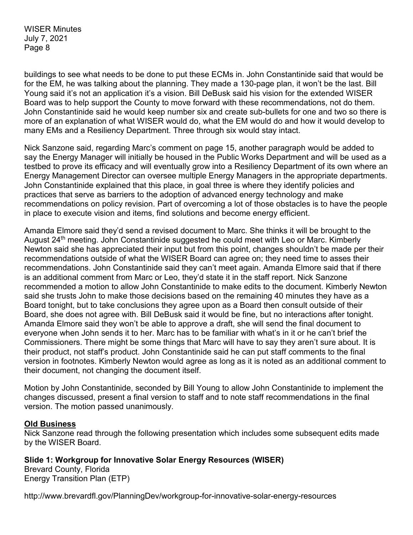buildings to see what needs to be done to put these ECMs in. John Constantinide said that would be for the EM, he was talking about the planning. They made a 130-page plan, it won't be the last. Bill Young said it's not an application it's a vision. Bill DeBusk said his vision for the extended WISER Board was to help support the County to move forward with these recommendations, not do them. John Constantinide said he would keep number six and create sub-bullets for one and two so there is more of an explanation of what WISER would do, what the EM would do and how it would develop to many EMs and a Resiliency Department. Three through six would stay intact.

Nick Sanzone said, regarding Marc's comment on page 15, another paragraph would be added to say the Energy Manager will initially be housed in the Public Works Department and will be used as a testbed to prove its efficacy and will eventually grow into a Resiliency Department of its own where an Energy Management Director can oversee multiple Energy Managers in the appropriate departments. John Constantinide explained that this place, in goal three is where they identify policies and practices that serve as barriers to the adoption of advanced energy technology and make recommendations on policy revision. Part of overcoming a lot of those obstacles is to have the people in place to execute vision and items, find solutions and become energy efficient.

Amanda Elmore said they'd send a revised document to Marc. She thinks it will be brought to the August 24<sup>th</sup> meeting. John Constantinide suggested he could meet with Leo or Marc. Kimberly Newton said she has appreciated their input but from this point, changes shouldn't be made per their recommendations outside of what the WISER Board can agree on; they need time to asses their recommendations. John Constantinide said they can't meet again. Amanda Elmore said that if there is an additional comment from Marc or Leo, they'd state it in the staff report. Nick Sanzone recommended a motion to allow John Constantinide to make edits to the document. Kimberly Newton said she trusts John to make those decisions based on the remaining 40 minutes they have as a Board tonight, but to take conclusions they agree upon as a Board then consult outside of their Board, she does not agree with. Bill DeBusk said it would be fine, but no interactions after tonight. Amanda Elmore said they won't be able to approve a draft, she will send the final document to everyone when John sends it to her. Marc has to be familiar with what's in it or he can't brief the Commissioners. There might be some things that Marc will have to say they aren't sure about. It is their product, not staff's product. John Constantinide said he can put staff comments to the final version in footnotes. Kimberly Newton would agree as long as it is noted as an additional comment to their document, not changing the document itself.

Motion by John Constantinide, seconded by Bill Young to allow John Constantinide to implement the changes discussed, present a final version to staff and to note staff recommendations in the final version. The motion passed unanimously.

#### **Old Business**

Nick Sanzone read through the following presentation which includes some subsequent edits made by the WISER Board.

**Slide 1: Workgroup for Innovative Solar Energy Resources (WISER)** Brevard County, Florida Energy Transition Plan (ETP)

http://www.brevardfl.gov/PlanningDev/workgroup-for-innovative-solar-energy-resources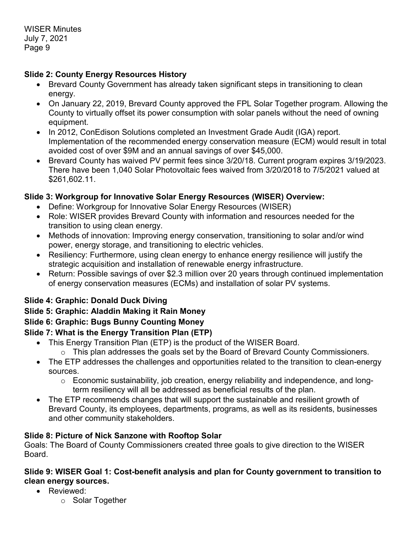## **Slide 2: County Energy Resources History**

- Brevard County Government has already taken significant steps in transitioning to clean energy.
- On January 22, 2019, Brevard County approved the FPL Solar Together program. Allowing the County to virtually offset its power consumption with solar panels without the need of owning equipment.
- In 2012, ConEdison Solutions completed an Investment Grade Audit (IGA) report. Implementation of the recommended energy conservation measure (ECM) would result in total avoided cost of over \$9M and an annual savings of over \$45,000.
- Brevard County has waived PV permit fees since 3/20/18. Current program expires 3/19/2023. There have been 1,040 Solar Photovoltaic fees waived from 3/20/2018 to 7/5/2021 valued at \$261,602.11.

## **Slide 3: Workgroup for Innovative Solar Energy Resources (WISER) Overview:**

- Define: Workgroup for Innovative Solar Energy Resources (WISER)
- Role: WISER provides Brevard County with information and resources needed for the transition to using clean energy.
- Methods of innovation: Improving energy conservation, transitioning to solar and/or wind power, energy storage, and transitioning to electric vehicles.
- Resiliency: Furthermore, using clean energy to enhance energy resilience will justify the strategic acquisition and installation of renewable energy infrastructure.
- Return: Possible savings of over \$2.3 million over 20 years through continued implementation of energy conservation measures (ECMs) and installation of solar PV systems.

## **Slide 4: Graphic: Donald Duck Diving**

## **Slide 5: Graphic: Aladdin Making it Rain Money**

# **Slide 6: Graphic: Bugs Bunny Counting Money**

# **Slide 7: What is the Energy Transition Plan (ETP)**

- This Energy Transition Plan (ETP) is the product of the WISER Board.
	- o This plan addresses the goals set by the Board of Brevard County Commissioners.
- The ETP addresses the challenges and opportunities related to the transition to clean-energy sources.
	- o Economic sustainability, job creation, energy reliability and independence, and longterm resiliency will all be addressed as beneficial results of the plan.
- The ETP recommends changes that will support the sustainable and resilient growth of Brevard County, its employees, departments, programs, as well as its residents, businesses and other community stakeholders.

## **Slide 8: Picture of Nick Sanzone with Rooftop Solar**

Goals: The Board of County Commissioners created three goals to give direction to the WISER Board.

## **Slide 9: WISER Goal 1: Cost-benefit analysis and plan for County government to transition to clean energy sources.**

- Reviewed:
	- o Solar Together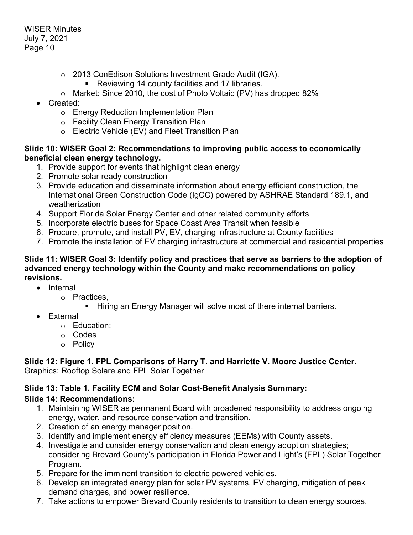- o 2013 ConEdison Solutions Investment Grade Audit (IGA).
	- Reviewing 14 county facilities and 17 libraries.
- o Market: Since 2010, the cost of Photo Voltaic (PV) has dropped 82%
- Created:
	- o Energy Reduction Implementation Plan
	- o Facility Clean Energy Transition Plan
	- o Electric Vehicle (EV) and Fleet Transition Plan

### **Slide 10: WISER Goal 2: Recommendations to improving public access to economically beneficial clean energy technology.**

- 1. Provide support for events that highlight clean energy
- 2. Promote solar ready construction
- 3. Provide education and disseminate information about energy efficient construction, the International Green Construction Code (IgCC) powered by ASHRAE Standard 189.1, and weatherization
- 4. Support Florida Solar Energy Center and other related community efforts
- 5. Incorporate electric buses for Space Coast Area Transit when feasible
- 6. Procure, promote, and install PV, EV, charging infrastructure at County facilities
- 7. Promote the installation of EV charging infrastructure at commercial and residential properties

### **Slide 11: WISER Goal 3: Identify policy and practices that serve as barriers to the adoption of advanced energy technology within the County and make recommendations on policy revisions.**

- Internal
	- o Practices,
		- Hiring an Energy Manager will solve most of there internal barriers.
- **Fxternal** 
	- o Education:
	- o Codes
	- o Policy

### **Slide 12: Figure 1. FPL Comparisons of Harry T. and Harriette V. Moore Justice Center.** Graphics: Rooftop Solare and FPL Solar Together

## **Slide 13: Table 1. Facility ECM and Solar Cost-Benefit Analysis Summary:**

## **Slide 14: Recommendations:**

- 1. Maintaining WISER as permanent Board with broadened responsibility to address ongoing energy, water, and resource conservation and transition.
- 2. Creation of an energy manager position.
- 3. Identify and implement energy efficiency measures (EEMs) with County assets.
- 4. Investigate and consider energy conservation and clean energy adoption strategies; considering Brevard County's participation in Florida Power and Light's (FPL) Solar Together Program.
- 5. Prepare for the imminent transition to electric powered vehicles.
- 6. Develop an integrated energy plan for solar PV systems, EV charging, mitigation of peak demand charges, and power resilience.
- 7. Take actions to empower Brevard County residents to transition to clean energy sources.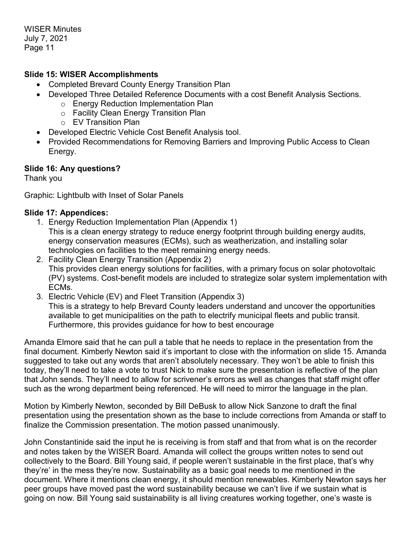### **Slide 15: WISER Accomplishments**

- Completed Brevard County Energy Transition Plan
- Developed Three Detailed Reference Documents with a cost Benefit Analysis Sections.
	- o Energy Reduction Implementation Plan
	- o Facility Clean Energy Transition Plan
	- o EV Transition Plan
- Developed Electric Vehicle Cost Benefit Analysis tool.
- Provided Recommendations for Removing Barriers and Improving Public Access to Clean Energy.

### **Slide 16: Any questions?**

Thank you

Graphic: Lightbulb with Inset of Solar Panels

### **Slide 17: Appendices:**

- 1. Energy Reduction Implementation Plan (Appendix 1) This is a clean energy strategy to reduce energy footprint through building energy audits, energy conservation measures (ECMs), such as weatherization, and installing solar
	- technologies on facilities to the meet remaining energy needs.
- 2. Facility Clean Energy Transition (Appendix 2) This provides clean energy solutions for facilities, with a primary focus on solar photovoltaic (PV) systems. Cost-benefit models are included to strategize solar system implementation with ECMs.
- 3. Electric Vehicle (EV) and Fleet Transition (Appendix 3) This is a strategy to help Brevard County leaders understand and uncover the opportunities available to get municipalities on the path to electrify municipal fleets and public transit. Furthermore, this provides guidance for how to best encourage

Amanda Elmore said that he can pull a table that he needs to replace in the presentation from the final document. Kimberly Newton said it's important to close with the information on slide 15. Amanda suggested to take out any words that aren't absolutely necessary. They won't be able to finish this today, they'll need to take a vote to trust Nick to make sure the presentation is reflective of the plan that John sends. They'll need to allow for scrivener's errors as well as changes that staff might offer such as the wrong department being referenced. He will need to mirror the language in the plan.

Motion by Kimberly Newton, seconded by Bill DeBusk to allow Nick Sanzone to draft the final presentation using the presentation shown as the base to include corrections from Amanda or staff to finalize the Commission presentation. The motion passed unanimously.

John Constantinide said the input he is receiving is from staff and that from what is on the recorder and notes taken by the WISER Board. Amanda will collect the groups written notes to send out collectively to the Board. Bill Young said, if people weren't sustainable in the first place, that's why they're' in the mess they're now. Sustainability as a basic goal needs to me mentioned in the document. Where it mentions clean energy, it should mention renewables. Kimberly Newton says her peer groups have moved past the word sustainability because we can't live if we sustain what is going on now. Bill Young said sustainability is all living creatures working together, one's waste is